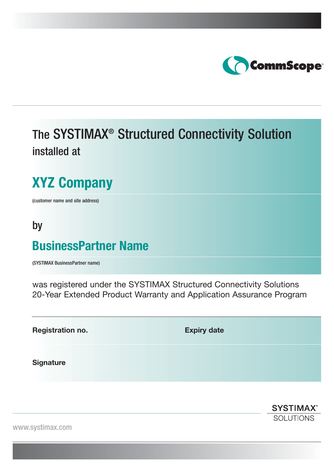

## The SYSTIMAX® Structured Connectivity Solution installed at

# **XYZ Company**

(customer name and site address)

### by

### **BusinessPartner Name**

(SYSTIMAX BusinessPartner name)

was registered under the SYSTIMAX Structured Connectivity Solutions 20-Year Extended Product Warranty and Application Assurance Program

**Registration no.** Expiry date

**Signature**

**SYSTIMAX® SOLUTIONS** 

www.systimax.com